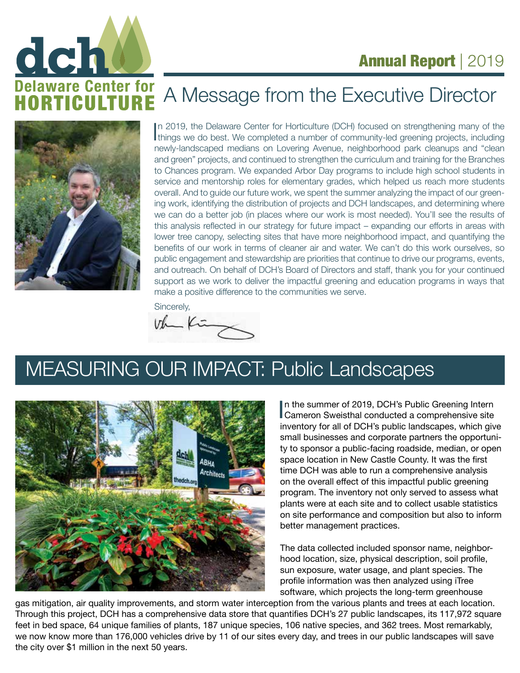



# A Message from the Executive Director



In 2019, the Delaware Center for Horticulture (DCH) focused on strengthening many of the things we do best. We completed a number of community-led greening projects, including n 2019, the Delaware Center for Horticulture (DCH) focused on strengthening many of the newly-landscaped medians on Lovering Avenue, neighborhood park cleanups and "clean and green" projects, and continued to strengthen the curriculum and training for the Branches to Chances program. We expanded Arbor Day programs to include high school students in service and mentorship roles for elementary grades, which helped us reach more students overall. And to guide our future work, we spent the summer analyzing the impact of our greening work, identifying the distribution of projects and DCH landscapes, and determining where we can do a better job (in places where our work is most needed). You'll see the results of this analysis reflected in our strategy for future impact – expanding our efforts in areas with lower tree canopy, selecting sites that have more neighborhood impact, and quantifying the benefits of our work in terms of cleaner air and water. We can't do this work ourselves, so public engagement and stewardship are priorities that continue to drive our programs, events, and outreach. On behalf of DCH's Board of Directors and staff, thank you for your continued support as we work to deliver the impactful greening and education programs in ways that make a positive difference to the communities we serve.

Sincerely,<br>Volume Kr<del>iegers</del>

# MEASURING OUR IMPACT: Public Landscapes



In the summer of 2019, DCH's Public Greening Intern<br>Cameron Sweisthal conducted a comprehensive site<br>inventor for all of DCH's public Indecesses which six n the summer of 2019, DCH's Public Greening Intern inventory for all of DCH's public landscapes, which give small businesses and corporate partners the opportunity to sponsor a public-facing roadside, median, or open space location in New Castle County. It was the first time DCH was able to run a comprehensive analysis on the overall effect of this impactful public greening program. The inventory not only served to assess what plants were at each site and to collect usable statistics on site performance and composition but also to inform better management practices.

The data collected included sponsor name, neighborhood location, size, physical description, soil profile, sun exposure, water usage, and plant species. The profile information was then analyzed using iTree software, which projects the long-term greenhouse

gas mitigation, air quality improvements, and storm water interception from the various plants and trees at each location. Through this project, DCH has a comprehensive data store that quantifies DCH's 27 public landscapes, its 117,972 square feet in bed space, 64 unique families of plants, 187 unique species, 106 native species, and 362 trees. Most remarkably, we now know more than 176,000 vehicles drive by 11 of our sites every day, and trees in our public landscapes will save the city over \$1 million in the next 50 years.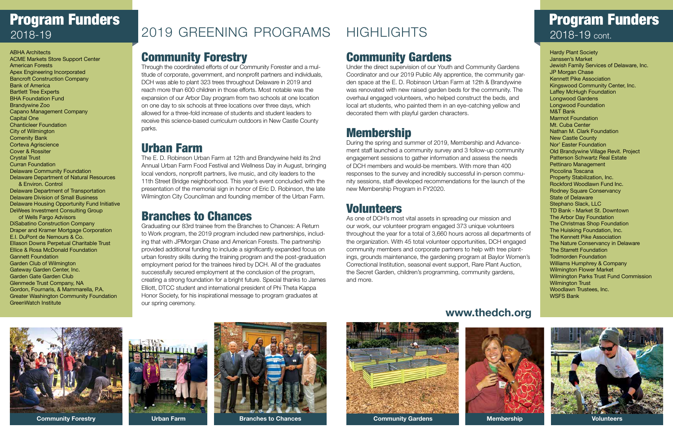# Program Funders 2018-19

## Program Funders 2018-19 cont.



## Community Forestry

Through the coordinated efforts of our Community Forester and a multitude of corporate, government, and nonprofit partners and individuals, DCH was able to plant 323 trees throughout Delaware in 2019 and reach more than 600 children in those efforts. Most notable was the expansion of our Arbor Day program from two schools at one location on one day to six schools at three locations over three days, which allowed for a three-fold increase of students and student leaders to receive this science-based curriculum outdoors in New Castle County parks.

### Urban Farm

The E. D. Robinson Urban Farm at 12th and Brandywine held its 2nd Annual Urban Farm Food Festival and Wellness Day in August, bringing local vendors, nonprofit partners, live music, and city leaders to the 11th Street Bridge neighborhood. This year's event concluded with the presentation of the memorial sign in honor of Eric D. Robinson, the late Wilmington City Councilman and founding member of the Urban Farm.

### Branches to Chances

Graduating our 83rd trainee from the Branches to Chances: A Return to Work program, the 2019 program included new partnerships, including that with JPMorgan Chase and American Forests. The partnership provided additional funding to include a significantly expanded focus on urban forestry skills during the training program and the post-graduation employment period for the trainees hired by DCH. All of the graduates successfully secured employment at the conclusion of the program, creating a strong foundation for a bright future. Special thanks to James Elliott, DTCC student and international president of Phi Theta Kappa Honor Society, for his inspirational message to program graduates at our spring ceremony.

## Community Gardens

Under the direct supervision of our Youth and Community Gardens Coordinator and our 2019 Public Ally apprentice, the community garden space at the E. D. Robinson Urban Farm at 12th & Brandywine was renovated with new raised garden beds for the community. The overhaul engaged volunteers, who helped construct the beds, and local art students, who painted them in an eye-catching yellow and decorated them with playful garden characters.

### Membership

During the spring and summer of 2019, Membership and Advancement staff launched a community survey and 3 follow-up community engagement sessions to gather information and assess the needs of DCH members and would-be members. With more than 400 responses to the survey and incredibly successful in-person community sessions, staff developed recommendations for the launch of the new Membership Program in FY2020.

#### Volunteers

As one of DCH's most vital assets in spreading our mission and our work, our volunteer program engaged 373 unique volunteers throughout the year for a total of 3,660 hours across all departments of the organization. With 45 total volunteer opportunities, DCH engaged community members and corporate partners to help with tree plantings, grounds maintenance, the gardening program at Baylor Women's Correctional Institution, seasonal event support, Rare Plant Auction, the Secret Garden, children's programming, community gardens, and more.









#### **www.thedch.org**



ABHA Architects ACME Markets Store Support Center American Forests Apex Engineering Incorporated Bancroft Construction Company Bank of America Bartlett Tree Experts BHA Foundation Fund Brandywine Zoo Capano Management Company Capital One Chanticleer Foundation City of Wilmington Comenity Bank Corteva Agriscience Cover & Rossiter Crystal Trust Curran Foundation Delaware Community Foundation Delaware Department of Natural Resources & Environ. Control Delaware Department of Transportation Delaware Division of Small Business Delaware Housing Opportunity Fund Initiative DeWees Investment Consulting Group of Wells Fargo Advisors DiSabatino Construction Company Draper and Kramer Mortgage Corporation E.I. DuPont de Nemours & Co. Ellason Downs Perpetual Charitable Trust Ellice & Rosa McDonald Foundation Gannett Foundation Garden Club of Wilmington Gateway Garden Center, Inc. Garden Gate Garden Club Glenmede Trust Company, NA Gordon, Fournaris, & Mammarella, P.A. Greater Washington Community Foundation GreenWatch Institute

#### Hardy Plant Society Janssen's Market Jewish Family Services of Delaware, Inc. JP Morgan Chase Kennett Pike Association Kingswood Community Center, Inc. Laffey McHugh Foundation Longwood Gardens Longwood Foundation M&T Bank Marmot Foundation Mt. Cuba Center Nathan M. Clark Foundation New Castle County Nor' Easter Foundation Old Brandywine Village Revit. Project Patterson Schwartz Real Estate Pettinaro Management Piccolina Toscana Property Stabilization, Inc. Rockford Woodlawn Fund Inc. Rodney Square Conservancy State of Delaware Stephano Slack, LLC TD Bank - Market St. Downtown The Arbor Day Foundation The Christmas Shop Foundation The Huisking Foundation, Inc. The Kennett Pike Association The Nature Conservancy in Delaware The Starrett Foundation Todmorden Foundation Williams Humphrey & Company Wilmington Flower Market Wilmington Parks Trust Fund Commission **Wilmington Trust** Woodlawn Trustees, Inc. WSFS Bank

# 2019 GREENING PROGRAMS HIGHLIGHTS